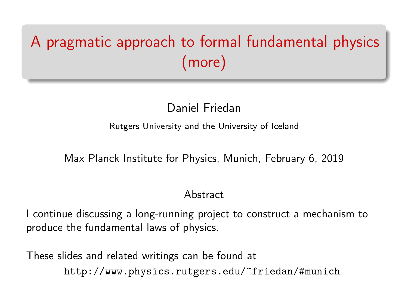# A pragmatic approach to formal fundamental physics (more)

# Daniel Friedan

#### Rutgers University and the University of Iceland

#### Max Planck Institute for Physics, Munich, February 6, 2019

#### Abstract

I continue discussing a long-running project to construct a mechanism to produce the fundamental laws of physics.

These slides and related writings can be found at <http://www.physics.rutgers.edu/~friedan/#munich>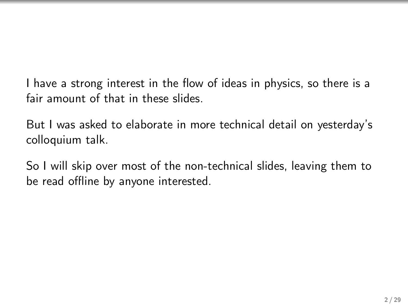I have a strong interest in the flow of ideas in physics, so there is a fair amount of that in these slides.

But I was asked to elaborate in more technical detail on yesterday's colloquium talk.

So I will skip over most of the non-technical slides, leaving them to be read offline by anyone interested.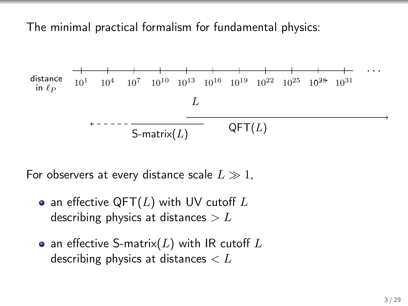The minimal practical formalism for fundamental physics:



For observers at every distance scale  $L \gg 1$ ,

- an effective QFT( $L$ ) with UV cutoff  $L$ describing physics at distances  $> L$
- an effective S-matrix(L) with IR cutoff L describing physics at distances  $\lt L$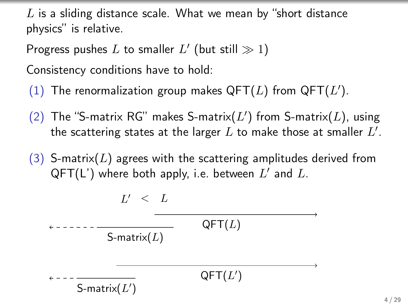$L$  is a sliding distance scale. What we mean by "short distance physics" is relative.

Progress pushes L to smaller  $L'$  (but still  $\gg 1$ )

Consistency conditions have to hold:

S-matrix $(L')$ 

- (1) The renormalization group makes  $\mathsf{QFT}(L)$  from  $\mathsf{QFT}(L').$
- (2) The "S-matrix RG" makes S-matrix( $L'$ ) from S-matrix( $L$ ), using the scattering states at the larger  $L$  to make those at smaller  $L^{\prime}.$
- (3) S-matrix(L) agrees with the scattering amplitudes derived from  $\mathsf{QFT}(\mathsf{L}^\prime)$  where both apply, i.e. between  $L^\prime$  and  $L.$

L <sup>0</sup> < L QFT(L) S-matrix(L) QFT(L 0 )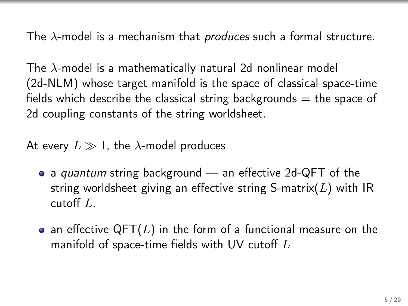The  $\lambda$ -model is a mechanism that *produces* such a formal structure.

The  $\lambda$ -model is a mathematically natural 2d nonlinear model (2d-NLM) whose target manifold is the space of classical space-time fields which describe the classical string backgrounds  $=$  the space of 2d coupling constants of the string worldsheet.

At every  $L \gg 1$ , the  $\lambda$ -model produces

- a *quantum* string background an effective 2d-QFT of the string worldsheet giving an effective string S-matrix( $L$ ) with IR cutoff L.
- an effective QFT(L) in the form of a functional measure on the manifold of space-time fields with UV cutoff  $L$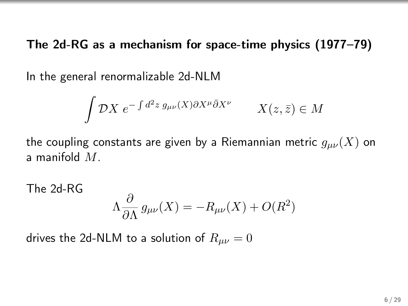The 2d-RG as a mechanism for space-time physics (1977–79)

In the general renormalizable 2d-NLM

$$
\int \mathcal{D}X \ e^{-\int d^2 z \ g_{\mu\nu}(X)\partial X^{\mu}\bar{\partial}X^{\nu}} \qquad X(z,\bar{z}) \in M
$$

the coupling constants are given by a Riemannian metric  $g_{\mu\nu}(X)$  on a manifold M.

The 2d-RG  $\Lambda \frac{\partial}{\partial \theta}$  $\frac{\partial}{\partial \Lambda} g_{\mu\nu}(X) = -R_{\mu\nu}(X) + O(R^2)$ 

drives the 2d-NLM to a solution of  $R_{\mu\nu} = 0$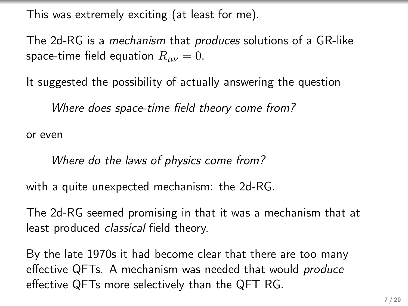This was extremely exciting (at least for me).

The 2d-RG is a mechanism that produces solutions of a GR-like space-time field equation  $R_{\mu\nu} = 0$ .

It suggested the possibility of actually answering the question

Where does space-time field theory come from?

or even

Where do the laws of physics come from?

with a quite unexpected mechanism: the 2d-RG.

The 2d-RG seemed promising in that it was a mechanism that at least produced *classical* field theory.

By the late 1970s it had become clear that there are too many effective QFTs. A mechanism was needed that would produce effective QFTs more selectively than the QFT RG.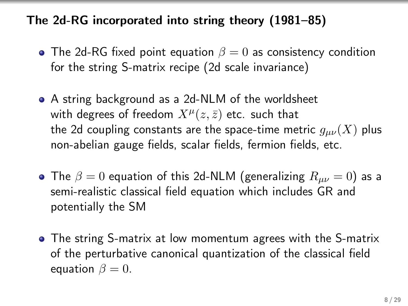## The 2d-RG incorporated into string theory (1981–85)

- The 2d-RG fixed point equation  $\beta = 0$  as consistency condition for the string S-matrix recipe (2d scale invariance)
- A string background as a 2d-NLM of the worldsheet with degrees of freedom  $X^\mu(z,\bar{z})$  etc. such that the 2d coupling constants are the space-time metric  $g_{\mu\nu}(X)$  plus non-abelian gauge fields, scalar fields, fermion fields, etc.
- The  $\beta = 0$  equation of this 2d-NLM (generalizing  $R_{\mu\nu} = 0$ ) as a semi-realistic classical field equation which includes GR and potentially the SM
- The string S-matrix at low momentum agrees with the S-matrix of the perturbative canonical quantization of the classical field equation  $\beta = 0$ .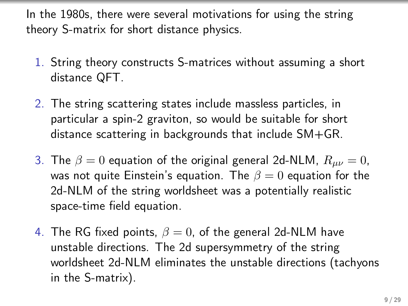In the 1980s, there were several motivations for using the string theory S-matrix for short distance physics.

- 1. String theory constructs S-matrices without assuming a short distance QFT.
- 2. The string scattering states include massless particles, in particular a spin-2 graviton, so would be suitable for short distance scattering in backgrounds that include SM+GR.
- 3. The  $\beta = 0$  equation of the original general 2d-NLM,  $R_{\mu\nu} = 0$ , was not quite Einstein's equation. The  $\beta = 0$  equation for the 2d-NLM of the string worldsheet was a potentially realistic space-time field equation.
- 4. The RG fixed points,  $\beta = 0$ , of the general 2d-NLM have unstable directions. The 2d supersymmetry of the string worldsheet 2d-NLM eliminates the unstable directions (tachyons in the S-matrix).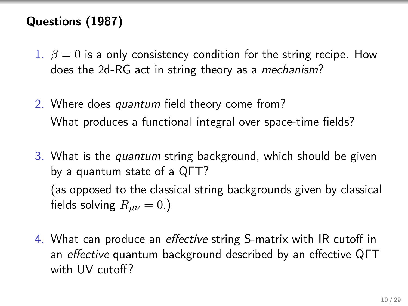## Questions (1987)

- 1.  $\beta = 0$  is a only consistency condition for the string recipe. How does the 2d-RG act in string theory as a mechanism?
- 2. Where does quantum field theory come from? What produces a functional integral over space-time fields?
- 3. What is the quantum string background, which should be given by a quantum state of a QFT? (as opposed to the classical string backgrounds given by classical fields solving  $R_{\mu\nu} = 0.$ )
- 4. What can produce an effective string S-matrix with IR cutoff in an effective quantum background described by an effective QFT with UV cutoff?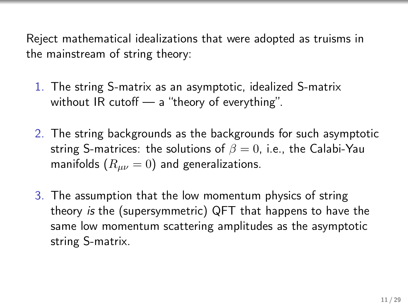Reject mathematical idealizations that were adopted as truisms in the mainstream of string theory:

- 1. The string S-matrix as an asymptotic, idealized S-matrix without IR cutoff — a "theory of everything".
- 2. The string backgrounds as the backgrounds for such asymptotic string S-matrices: the solutions of  $\beta = 0$ , i.e., the Calabi-Yau manifolds  $(R_{\mu\nu}=0)$  and generalizations.
- 3. The assumption that the low momentum physics of string theory is the (supersymmetric) QFT that happens to have the same low momentum scattering amplitudes as the asymptotic string S-matrix.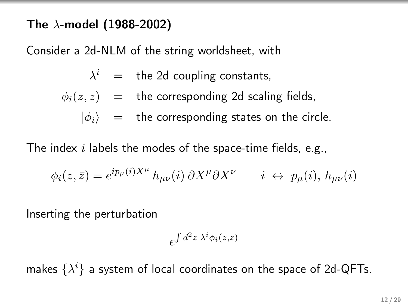#### The  $\lambda$ -model (1988-2002)

Consider a 2d-NLM of the string worldsheet, with

$$
\lambda^i = \text{the 2d coupling constants},
$$

$$
\phi_i(z, \bar{z})
$$
 = the corresponding 2d scaling fields,

 $|\phi_i\rangle$  = the corresponding states on the circle.

The index  $i$  labels the modes of the space-time fields, e.g.,

$$
\phi_i(z,\bar{z}) = e^{ip_\mu(i)X^\mu} h_{\mu\nu}(i) \, \partial X^\mu \bar{\partial} X^\nu \qquad i \leftrightarrow p_\mu(i), h_{\mu\nu}(i)
$$

Inserting the perturbation

$$
e^{\int d^2z \; \lambda^i \phi_i(z,\bar{z})}
$$

makes  $\{\lambda^i\}$  a system of local coordinates on the space of 2d-QFTs.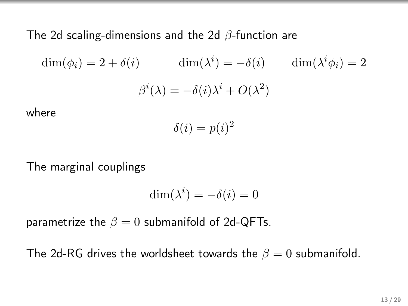The 2d scaling-dimensions and the 2d β-function are

$$
\dim(\phi_i) = 2 + \delta(i) \qquad \dim(\lambda^i) = -\delta(i) \qquad \dim(\lambda^i \phi_i) = 2
$$

$$
\beta^i(\lambda) = -\delta(i)\lambda^i + O(\lambda^2)
$$

where

$$
\delta(i) = p(i)^2
$$

The marginal couplings

$$
\dim(\lambda^i) = -\delta(i) = 0
$$

parametrize the  $\beta = 0$  submanifold of 2d-QFTs.

The 2d-RG drives the worldsheet towards the  $\beta = 0$  submanifold.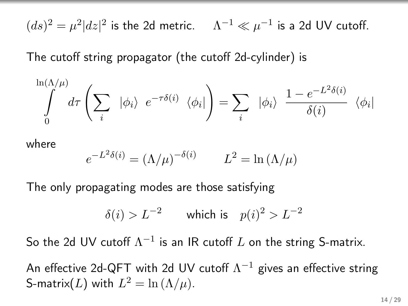$(d s)^2 = \mu^2 |d z|^2$  is the 2d metric.  $\Lambda^{-1} \ll \mu^{-1}$  is a 2d UV cutoff.

The cutoff string propagator (the cutoff 2d-cylinder) is

$$
\int_{0}^{\ln(\Lambda/\mu)} d\tau \left( \sum_{i} | \phi_{i} \rangle e^{-\tau \delta(i)} \langle \phi_{i} | \right) = \sum_{i} | \phi_{i} \rangle \frac{1 - e^{-L^{2} \delta(i)}}{\delta(i)} \langle \phi_{i} |
$$

where

$$
e^{-L^2 \delta(i)} = (\Lambda/\mu)^{-\delta(i)} \qquad L^2 = \ln(\Lambda/\mu)
$$

The only propagating modes are those satisfying

$$
\delta(i) > L^{-2} \qquad \text{which is} \quad p(i)^2 > L^{-2}
$$

So the 2d UV cutoff  $\Lambda^{-1}$  is an IR cutoff L on the string S-matrix.

An effective 2d-QFT with 2d UV cutoff  $\Lambda^{-1}$  gives an effective string S-matrix(L) with  $L^2 = \ln (\Lambda/\mu)$ .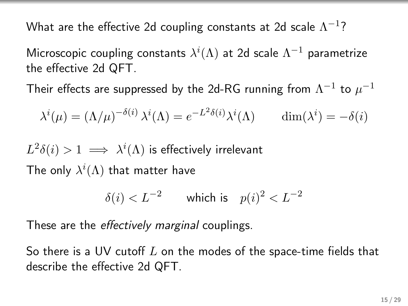What are the effective 2d coupling constants at 2d scale  $\Lambda^{-1}$ ?

Microscopic coupling constants  $\lambda^{i}(\Lambda)$  at 2d scale  $\Lambda^{-1}$  parametrize the effective 2d QFT.

Their effects are suppressed by the 2d-RG running from  $\Lambda^{-1}$  to  $\mu^{-1}$ 

$$
\lambda^{i}(\mu) = (\Lambda/\mu)^{-\delta(i)} \lambda^{i}(\Lambda) = e^{-L^{2}\delta(i)} \lambda^{i}(\Lambda) \quad \dim(\lambda^{i}) = -\delta(i)
$$

 $L^2\delta(i)>1 \implies \lambda^i(\Lambda)$  is effectively irrelevant

The only  $\lambda^{i}(\Lambda)$  that matter have

$$
\delta(i) < L^{-2} \qquad \text{which is} \quad p(i)^2 < L^{-2}
$$

These are the *effectively marginal* couplings.

So there is a UV cutoff  $L$  on the modes of the space-time fields that describe the effective 2d QFT.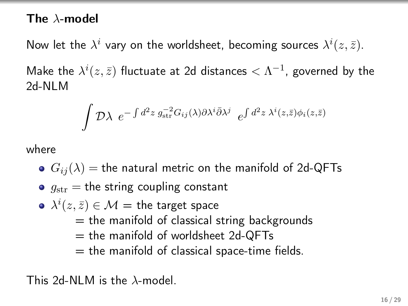#### The  $\lambda$ -model

Now let the  $\lambda^i$  vary on the worldsheet, becoming sources  $\lambda^i(z,\bar{z})$ .

Make the  $\lambda^i(z,\bar{z})$  fluctuate at 2d distances  $<\Lambda^{-1}$ , governed by the 2d-NLM

$$
\int \mathcal{D}\lambda \ e^{-\int d^2z \ g_{\rm str}^{-2}G_{ij}(\lambda)\partial \lambda^i \bar{\partial} \lambda^j} \ e^{\int d^2z \ \lambda^i(z,\bar{z})\phi_i(z,\bar{z})}
$$

where

- $G_{ij}(\lambda)$  = the natural metric on the manifold of 2d-QFTs
- $\bullet$   $q_{\text{str}}$  = the string coupling constant
- $\lambda^i(z,\bar{z})\in\mathcal{M}=$  the target space  $=$  the manifold of classical string backgrounds
	- $=$  the manifold of worldsheet 2d-QFTs
	- $=$  the manifold of classical space-time fields.

This 2d-NLM is the  $\lambda$ -model.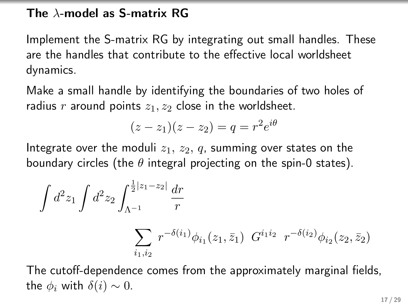#### The  $\lambda$ -model as S-matrix RG

Implement the S-matrix RG by integrating out small handles. These are the handles that contribute to the effective local worldsheet dynamics.

Make a small handle by identifying the boundaries of two holes of radius r around points  $z_1, z_2$  close in the worldsheet.

$$
(z-z1)(z-z2) = q = r2ei\theta
$$

Integrate over the moduli  $z_1, z_2, q$ , summing over states on the boundary circles (the  $\theta$  integral projecting on the spin-0 states).

$$
\int d^2 z_1 \int d^2 z_2 \int_{\Lambda^{-1}}^{\frac{1}{2}|z_1 - z_2|} \frac{dr}{r}
$$

$$
\sum_{i_1, i_2} r^{-\delta(i_1)} \phi_{i_1}(z_1, \bar{z}_1) G^{i_1 i_2} r^{-\delta(i_2)} \phi_{i_2}(z_2, \bar{z}_2)
$$

The cutoff-dependence comes from the approximately marginal fields, the  $\phi_i$  with  $\delta(i) \sim 0$ .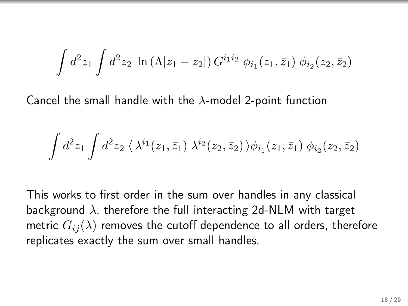$$
\int d^2 z_1 \int d^2 z_2 \, \ln \left( \Lambda |z_1 - z_2| \right) G^{i_1 i_2} \, \phi_{i_1}(z_1, \bar{z}_1) \, \phi_{i_2}(z_2, \bar{z}_2)
$$

Cancel the small handle with the  $\lambda$ -model 2-point function

$$
\int d^2 z_1 \int d^2 z_2 \, \langle \, \lambda^{i_1}(z_1,\bar z_1) \; \lambda^{i_2}(z_2,\bar z_2) \, \rangle \phi_{i_1}(z_1,\bar z_1) \; \phi_{i_2}(z_2,\bar z_2)
$$

This works to first order in the sum over handles in any classical background  $\lambda$ , therefore the full interacting 2d-NLM with target metric  $G_{ij}(\lambda)$  removes the cutoff dependence to all orders, therefore replicates exactly the sum over small handles.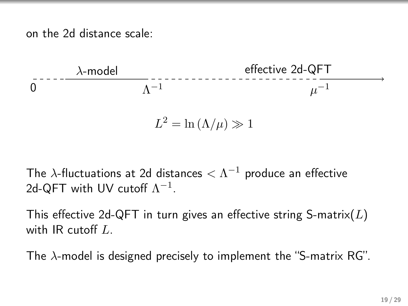on the 2d distance scale:



$$
L^2 = \ln(\Lambda/\mu) \gg 1
$$

The  $\lambda$ -fluctuations at 2d distances  $<\Lambda^{-1}$  produce an effective 2d-QFT with UV cutoff  $\Lambda^{-1}$ .

This effective 2d-QFT in turn gives an effective string S-matrix( $L$ ) with IR cutoff L.

The  $\lambda$ -model is designed precisely to implement the "S-matrix RG".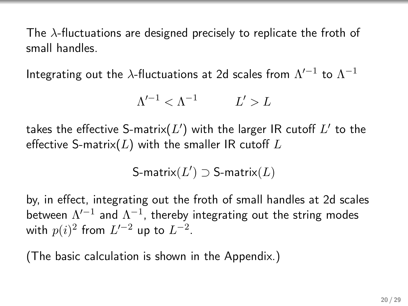The  $\lambda$ -fluctuations are designed precisely to replicate the froth of small handles.

Integrating out the  $\lambda$ -fluctuations at 2d scales from  $\Lambda'^{-1}$  to  $\Lambda^{-1}$ 

$$
\Lambda'^{-1} < \Lambda^{-1} \qquad L' > L
$$

takes the effective S-matrix $(L^{\prime})$  with the larger IR cutoff  $L^{\prime}$  to the effective S-matrix( $L$ ) with the smaller IR cutoff  $L$ 

$$
\text{S-matrix}(L') \supset \text{S-matrix}(L)
$$

by, in effect, integrating out the froth of small handles at 2d scales between  $\Lambda'^{-1}$  and  $\Lambda^{-1}$ , thereby integrating out the string modes with  $p(i)^2$  from  $L'^{-2}$  up to  $L^{-2}$ .

(The basic calculation is shown in the Appendix.)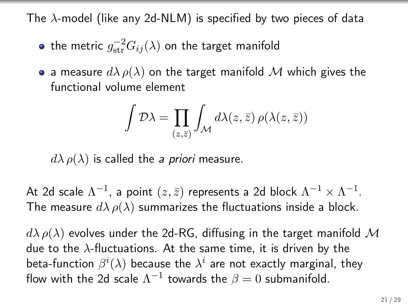The  $\lambda$ -model (like any 2d-NLM) is specified by two pieces of data

- the metric  $g_{\text{str}}^{-2}G_{ij}(\lambda)$  on the target manifold
- a measure  $d\lambda \rho(\lambda)$  on the target manifold M which gives the functional volume element

$$
\int \mathcal{D}\lambda = \prod_{(z,\bar{z})} \int_{\mathcal{M}} d\lambda(z,\bar{z}) \,\rho(\lambda(z,\bar{z}))
$$

 $d\lambda \rho(\lambda)$  is called the *a priori* measure.

At 2d scale  $\Lambda^{-1}$ , a point  $(z,\bar{z})$  represents a 2d block  $\Lambda^{-1}\times\Lambda^{-1}.$ The measure  $d\lambda \rho(\lambda)$  summarizes the fluctuations inside a block.

 $d\lambda \rho(\lambda)$  evolves under the 2d-RG, diffusing in the target manifold M due to the  $\lambda$ -fluctuations. At the same time, it is driven by the beta-function  $\beta^i(\lambda)$  because the  $\lambda^i$  are not exactly marginal, they flow with the 2d scale  $\Lambda^{-1}$  towards the  $\beta=0$  submanifold.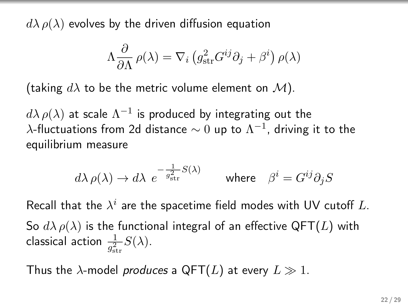$d\lambda \rho(\lambda)$  evolves by the driven diffusion equation

$$
\Lambda \frac{\partial}{\partial \Lambda} \rho(\lambda) = \nabla_i \left( g_{\rm str}^2 G^{ij} \partial_j + \beta^i \right) \rho(\lambda)
$$

(taking  $d\lambda$  to be the metric volume element on  $\mathcal{M}$ ).

 $d\lambda\,\rho(\lambda)$  at scale  $\Lambda^{-1}$  is produced by integrating out the  $\lambda$ -fluctuations from 2d distance  $\sim 0$  up to  $\Lambda^{-1}$ , driving it to the equilibrium measure

$$
d\lambda \, \rho(\lambda) \to d\lambda \, \, e^{-\frac{1}{g_{\rm str}^2} S(\lambda)} \qquad \text{where} \quad \beta^i = G^{ij} \partial_j S
$$

Recall that the  $\lambda^i$  are the spacetime field modes with UV cutoff L.

So  $d\lambda \rho(\lambda)$  is the functional integral of an effective QFT(L) with classical action  $\frac{1}{g_{\rm str}^2}S(\lambda)$ .

Thus the  $\lambda$ -model produces a QFT(L) at every  $L \gg 1$ .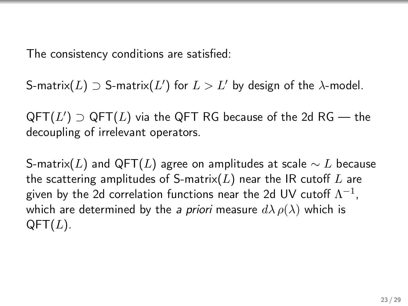The consistency conditions are satisfied:

S-matrix $(L) \supset$  S-matrix $(L')$  for  $L > L'$  by design of the  $\lambda$ -model.

 $\mathsf{QFT}(L')\supset\mathsf{QFT}(L)$  via the  $\mathsf{QFT}$  RG because of the 2d RG — the decoupling of irrelevant operators.

S-matrix(L) and QFT(L) agree on amplitudes at scale  $\sim$  L because the scattering amplitudes of S-matrix( $L$ ) near the IR cutoff  $L$  are given by the 2d correlation functions near the 2d UV cutoff  $\Lambda^{-1}$ , which are determined by the a priori measure  $d\lambda \rho(\lambda)$  which is  $QFT(L)$ .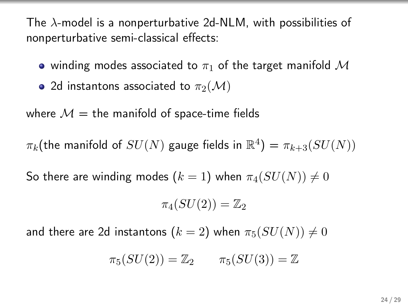The  $\lambda$ -model is a nonperturbative 2d-NLM, with possibilities of nonperturbative semi-classical effects:

- winding modes associated to  $\pi_1$  of the target manifold M
- 2d instantons associated to  $\pi_2(\mathcal{M})$

where  $M =$  the manifold of space-time fields

 $\pi_k$ (the manifold of  $SU(N)$  gauge fields in  $\mathbb{R}^4$ ) =  $\pi_{k+3}(SU(N))$ 

So there are winding modes  $(k = 1)$  when  $\pi_4(SU(N)) \neq 0$ 

$$
\pi_4(SU(2))=\mathbb{Z}_2
$$

and there are 2d instantons  $(k = 2)$  when  $\pi_5(SU(N)) \neq 0$ 

$$
\pi_5(SU(2)) = \mathbb{Z}_2 \qquad \pi_5(SU(3)) = \mathbb{Z}
$$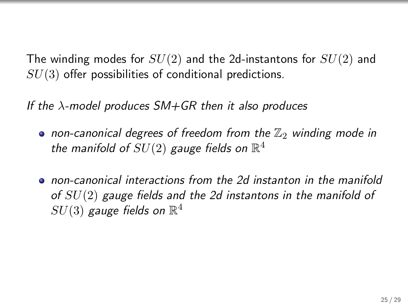The winding modes for  $SU(2)$  and the 2d-instantons for  $SU(2)$  and  $SU(3)$  offer possibilities of conditional predictions.

If the  $\lambda$ -model produces SM+GR then it also produces

- non-canonical degrees of freedom from the  $\mathbb{Z}_2$  winding mode in the manifold of  $SU(2)$  gauge fields on  $\mathbb{R}^4$
- non-canonical interactions from the 2d instanton in the manifold of  $SU(2)$  gauge fields and the 2d instantons in the manifold of  $SU(3)$  gauge fields on  $\mathbb{R}^4$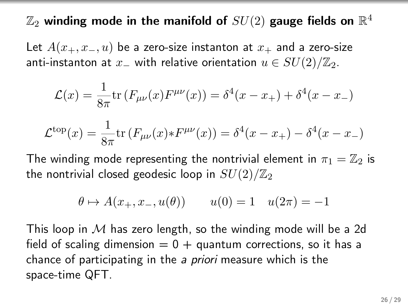$\mathbb{Z}_2$  winding mode in the manifold of  $SU(2)$  gauge fields on  $\mathbb{R}^4$ 

Let  $A(x_+, x_-, u)$  be a zero-size instanton at  $x_+$  and a zero-size anti-instanton at  $x_$  with relative orientation  $u \in SU(2)/\mathbb{Z}_2$ .

$$
\mathcal{L}(x) = \frac{1}{8\pi} \text{tr} \left( F_{\mu\nu}(x) F^{\mu\nu}(x) \right) = \delta^4(x - x_+) + \delta^4(x - x_-)
$$

$$
\mathcal{L}^{\text{top}}(x) = \frac{1}{8\pi} \text{tr} \left( F_{\mu\nu}(x) * F^{\mu\nu}(x) \right) = \delta^4(x - x_+) - \delta^4(x - x_-)
$$

The winding mode representing the nontrivial element in  $\pi_1 = \mathbb{Z}_2$  is the nontrivial closed geodesic loop in  $SU(2)/\mathbb{Z}_2$ 

$$
\theta \mapsto A(x_+, x_-, u(\theta))
$$
  $u(0) = 1$   $u(2\pi) = -1$ 

This loop in  $M$  has zero length, so the winding mode will be a 2d field of scaling dimension  $= 0 +$  quantum corrections, so it has a chance of participating in the a priori measure which is the space-time QFT.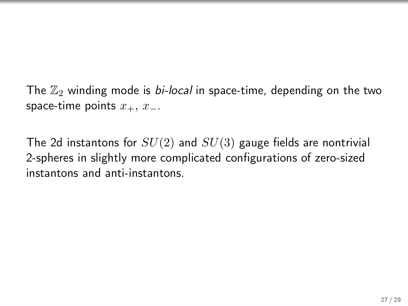The  $\mathbb{Z}_2$  winding mode is *bi-local* in space-time, depending on the two space-time points  $x_+, x_-.$ 

The 2d instantons for  $SU(2)$  and  $SU(3)$  gauge fields are nontrivial 2-spheres in slightly more complicated configurations of zero-sized instantons and anti-instantons.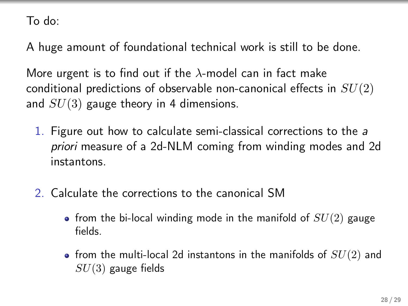To do:

A huge amount of foundational technical work is still to be done.

More urgent is to find out if the  $\lambda$ -model can in fact make conditional predictions of observable non-canonical effects in  $SU(2)$ and  $SU(3)$  gauge theory in 4 dimensions.

- 1. Figure out how to calculate semi-classical corrections to the a priori measure of a 2d-NLM coming from winding modes and 2d instantons.
- 2. Calculate the corrections to the canonical SM
	- from the bi-local winding mode in the manifold of  $SU(2)$  gauge fields.
	- from the multi-local 2d instantons in the manifolds of  $SU(2)$  and  $SU(3)$  gauge fields